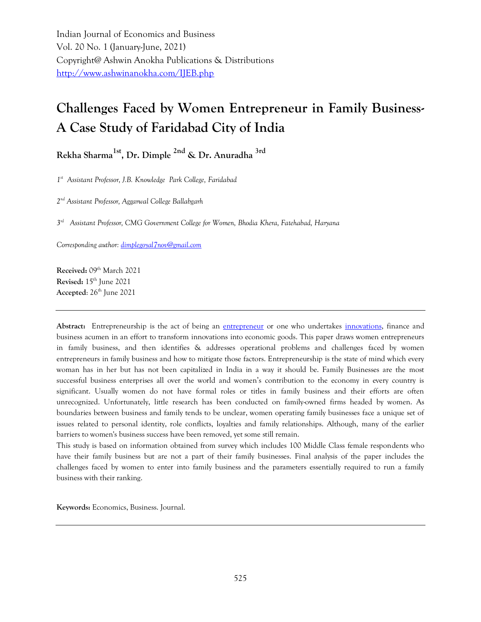Indian Journal of Economics and Business Vol. 20 No. 1 (January-June, 2021) Copyright@ Ashwin Anokha Publications & Distributions <http://www.ashwinanokha.com/IJEB.php>

# **Challenges Faced by Women Entrepreneur in Family Business-A Case Study of Faridabad City of India**

**Rekha Sharma1st , Dr. Dimple 2nd & Dr. Anuradha 3rd**

*1 st Assistant Professor, J.B. Knowledge Park College, Faridabad*

*2 nd Assistant Professor, Aggarwal College Ballabgarh*

*3 rd Assistant Professor, CMG Government College for Women, Bhodia Khera, Fatehabad, Haryana*

*Corresponding author[: dimplegoyal7nov@gmail.com](mailto:dimplegoyal7nov@gmail.com)*

Received: 09<sup>th</sup> March 2021 **Revised:** 15th June 2021 **Accepted**: 26th June 2021

Abstract: Entrepreneurship is the act of being an *entrepreneur* or one who undertakes *innovations*, finance and business acumen in an effort to transform innovations into economic goods. This paper draws women entrepreneurs in family business, and then identifies & addresses operational problems and challenges faced by women entrepreneurs in family business and how to mitigate those factors. Entrepreneurship is the state of mind which every woman has in her but has not been capitalized in India in a way it should be. Family Businesses are the most successful business enterprises all over the world and women's contribution to the economy in every country is significant. Usually women do not have formal roles or titles in family business and their efforts are often unrecognized. Unfortunately, little research has been conducted on family-owned firms headed by women. As boundaries between business and family tends to be unclear, women operating family businesses face a unique set of issues related to personal identity, role conflicts, loyalties and family relationships. Although, many of the earlier barriers to women's business success have been removed, yet some still remain.

This study is based on information obtained from survey which includes 100 Middle Class female respondents who have their family business but are not a part of their family businesses. Final analysis of the paper includes the challenges faced by women to enter into family business and the parameters essentially required to run a family business with their ranking.

**Keywords:** Economics, Business. Journal.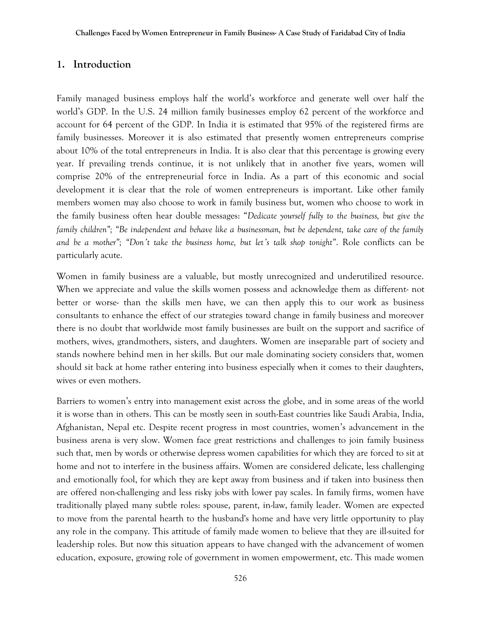## **1. Introduction**

Family managed business employs half the world's workforce and generate well over half the world's GDP. In the U.S. 24 million family businesses employ 62 percent of the workforce and account for 64 percent of the GDP. In India it is estimated that 95% of the registered firms are family businesses. Moreover it is also estimated that presently women entrepreneurs comprise about 10% of the total entrepreneurs in India. It is also clear that this percentage is growing every year. If prevailing trends continue, it is not unlikely that in another five years, women will comprise 20% of the entrepreneurial force in India. As a part of this economic and social development it is clear that the role of women entrepreneurs is important. Like other family members women may also choose to work in family business but, women who choose to work in the family business often hear double messages: "*Dedicate yourself fully to the business, but give the family children"; "Be independent and behave like a businessman, but be dependent, take care of the family and be a mother"; "Don't take the business home, but let's talk shop tonight"*. Role conflicts can be particularly acute.

Women in family business are a valuable, but mostly unrecognized and underutilized resource. When we appreciate and value the skills women possess and acknowledge them as different- not better or worse- than the skills men have, we can then apply this to our work as business consultants to enhance the effect of our strategies toward change in family business and moreover there is no doubt that worldwide most family businesses are built on the support and sacrifice of mothers, wives, grandmothers, sisters, and daughters. Women are inseparable part of society and stands nowhere behind men in her skills. But our male dominating society considers that, women should sit back at home rather entering into business especially when it comes to their daughters, wives or even mothers.

Barriers to women's entry into management exist across the globe, and in some areas of the world it is worse than in others. This can be mostly seen in south-East countries like Saudi Arabia, India, Afghanistan, Nepal etc. Despite recent progress in most countries, women's advancement in the business arena is very slow. Women face great restrictions and challenges to join family business such that, men by words or otherwise depress women capabilities for which they are forced to sit at home and not to interfere in the business affairs. Women are considered delicate, less challenging and emotionally fool, for which they are kept away from business and if taken into business then are offered non-challenging and less risky jobs with lower pay scales. In family firms, women have traditionally played many subtle roles: spouse, parent, in-law, family leader. Women are expected to move from the parental hearth to the husband's home and have very little opportunity to play any role in the company. This attitude of family made women to believe that they are ill-suited for leadership roles. But now this situation appears to have changed with the advancement of women education, exposure, growing role of government in women empowerment, etc. This made women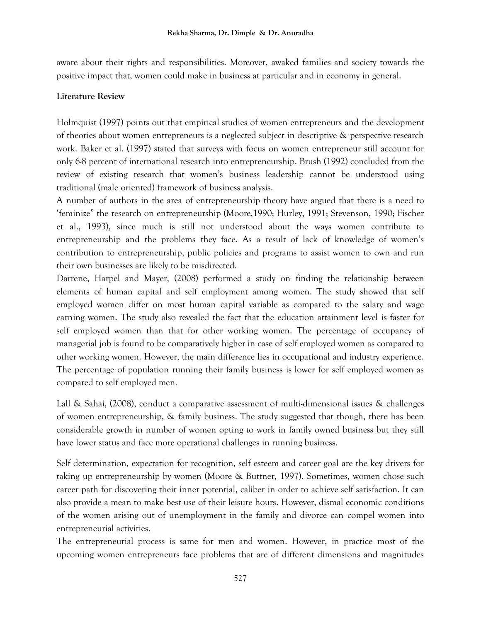aware about their rights and responsibilities. Moreover, awaked families and society towards the positive impact that, women could make in business at particular and in economy in general.

## **Literature Review**

Holmquist (1997) points out that empirical studies of women entrepreneurs and the development of theories about women entrepreneurs is a neglected subject in descriptive & perspective research work. Baker et al. (1997) stated that surveys with focus on women entrepreneur still account for only 6-8 percent of international research into entrepreneurship. Brush (1992) concluded from the review of existing research that women's business leadership cannot be understood using traditional (male oriented) framework of business analysis.

A number of authors in the area of entrepreneurship theory have argued that there is a need to 'feminize" the research on entrepreneurship (Moore,1990; Hurley, 1991; Stevenson, 1990; Fischer et al., 1993), since much is still not understood about the ways women contribute to entrepreneurship and the problems they face. As a result of lack of knowledge of women's contribution to entrepreneurship, public policies and programs to assist women to own and run their own businesses are likely to be misdirected.

Darrene, Harpel and Mayer, (2008) performed a study on finding the relationship between elements of human capital and self employment among women. The study showed that self employed women differ on most human capital variable as compared to the salary and wage earning women. The study also revealed the fact that the education attainment level is faster for self employed women than that for other working women. The percentage of occupancy of managerial job is found to be comparatively higher in case of self employed women as compared to other working women. However, the main difference lies in occupational and industry experience. The percentage of population running their family business is lower for self employed women as compared to self employed men.

Lall & Sahai, (2008), conduct a comparative assessment of multi-dimensional issues & challenges of women entrepreneurship, & family business. The study suggested that though, there has been considerable growth in number of women opting to work in family owned business but they still have lower status and face more operational challenges in running business.

Self determination, expectation for recognition, self esteem and career goal are the key drivers for taking up entrepreneurship by women (Moore & Buttner, 1997). Sometimes, women chose such career path for discovering their inner potential, caliber in order to achieve self satisfaction. It can also provide a mean to make best use of their leisure hours. However, dismal economic conditions of the women arising out of unemployment in the family and divorce can compel women into entrepreneurial activities.

The entrepreneurial process is same for men and women. However, in practice most of the upcoming women entrepreneurs face problems that are of different dimensions and magnitudes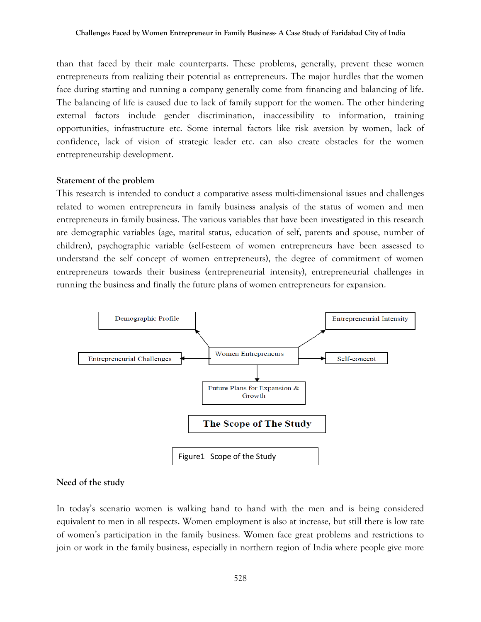#### **Challenges Faced by Women Entrepreneur in Family Business- A Case Study of Faridabad City of India**

than that faced by their male counterparts. These problems, generally, prevent these women entrepreneurs from realizing their potential as entrepreneurs. The major hurdles that the women face during starting and running a company generally come from financing and balancing of life. The balancing of life is caused due to lack of family support for the women. The other hindering external factors include gender discrimination, inaccessibility to information, training opportunities, infrastructure etc. Some internal factors like risk aversion by women, lack of confidence, lack of vision of strategic leader etc. can also create obstacles for the women entrepreneurship development.

#### **Statement of the problem**

This research is intended to conduct a comparative assess multi-dimensional issues and challenges related to women entrepreneurs in family business analysis of the status of women and men entrepreneurs in family business. The various variables that have been investigated in this research are demographic variables (age, marital status, education of self, parents and spouse, number of children), psychographic variable (self-esteem of women entrepreneurs have been assessed to understand the self concept of women entrepreneurs), the degree of commitment of women entrepreneurs towards their business (entrepreneurial intensity), entrepreneurial challenges in running the business and finally the future plans of women entrepreneurs for expansion.



#### **Need of the study**

In today's scenario women is walking hand to hand with the men and is being considered equivalent to men in all respects. Women employment is also at increase, but still there is low rate of women's participation in the family business. Women face great problems and restrictions to join or work in the family business, especially in northern region of India where people give more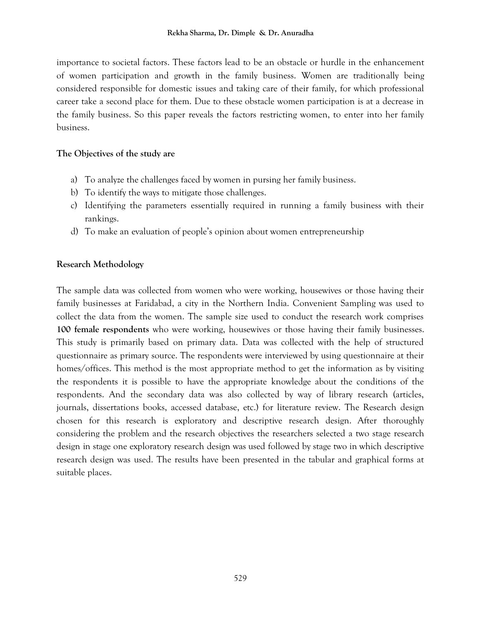importance to societal factors. These factors lead to be an obstacle or hurdle in the enhancement of women participation and growth in the family business. Women are traditionally being considered responsible for domestic issues and taking care of their family, for which professional career take a second place for them. Due to these obstacle women participation is at a decrease in the family business. So this paper reveals the factors restricting women, to enter into her family business.

## **The Objectives of the study are**

- a) To analyze the challenges faced by women in pursing her family business.
- b) To identify the ways to mitigate those challenges.
- c) Identifying the parameters essentially required in running a family business with their rankings.
- d) To make an evaluation of people's opinion about women entrepreneurship

## **Research Methodology**

The sample data was collected from women who were working, housewives or those having their family businesses at Faridabad, a city in the Northern India. Convenient Sampling was used to collect the data from the women. The sample size used to conduct the research work comprises **100 female respondents** who were working, housewives or those having their family businesses. This study is primarily based on primary data. Data was collected with the help of structured questionnaire as primary source. The respondents were interviewed by using questionnaire at their homes/offices. This method is the most appropriate method to get the information as by visiting the respondents it is possible to have the appropriate knowledge about the conditions of the respondents. And the secondary data was also collected by way of library research (articles, journals, dissertations books, accessed database, etc.) for literature review. The Research design chosen for this research is exploratory and descriptive research design. After thoroughly considering the problem and the research objectives the researchers selected a two stage research design in stage one exploratory research design was used followed by stage two in which descriptive research design was used. The results have been presented in the tabular and graphical forms at suitable places.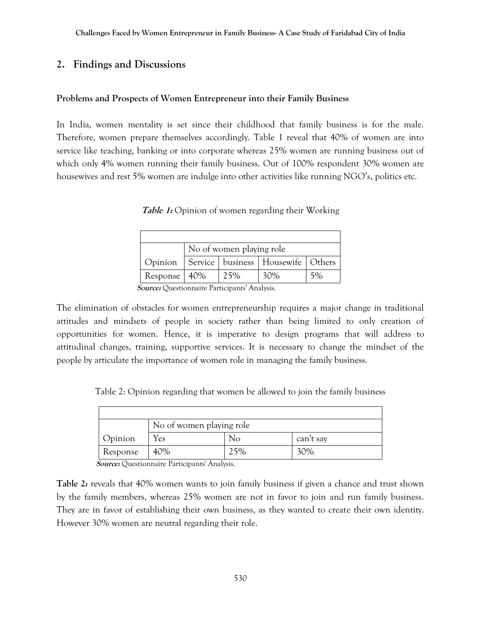# **2. Findings and Discussions**

### **Problems and Prospects of Women Entrepreneur into their Family Business**

In India, women mentality is set since their childhood that family business is for the male. Therefore, women prepare themselves accordingly. Table 1 reveal that 40% of women are into service like teaching, banking or into corporate whereas 25% women are running business out of which only 4% women running their family business. Out of 100% respondent 30% women are housewives and rest 5% women are indulge into other activities like running NGO's, politics etc.

**Table 1:** Opinion of women regarding their Working

|        | 25%            | 30%           | $5\%$                                                                         |
|--------|----------------|---------------|-------------------------------------------------------------------------------|
| $\sim$ | Response   40% | $\sim$ $\sim$ | No of women playing role<br>Opinion   Service   business   Housewife   Others |

**Source:** Questionnaire Participants' Analysis.

The elimination of obstacles for women entrepreneurship requires a major change in traditional attitudes and mindsets of people in society rather than being limited to only creation of opportunities for women. Hence, it is imperative to design programs that will address to attitudinal changes, training, supportive services. It is necessary to change the mindset of the people by articulate the importance of women role in managing the family business.

Table 2: Opinion regarding that women be allowed to join the family business

|          | No of women playing role |     |           |
|----------|--------------------------|-----|-----------|
| Opinion  | Yes                      | Nο  | can't say |
| Response | 40%                      | 25% | 30%       |

 **Source:** Questionnaire Participants' Analysis.

**Table 2:** reveals that 40% women wants to join family business if given a chance and trust shown by the family members, whereas 25% women are not in favor to join and run family business. They are in favor of establishing their own business, as they wanted to create their own identity. However 30% women are neutral regarding their role.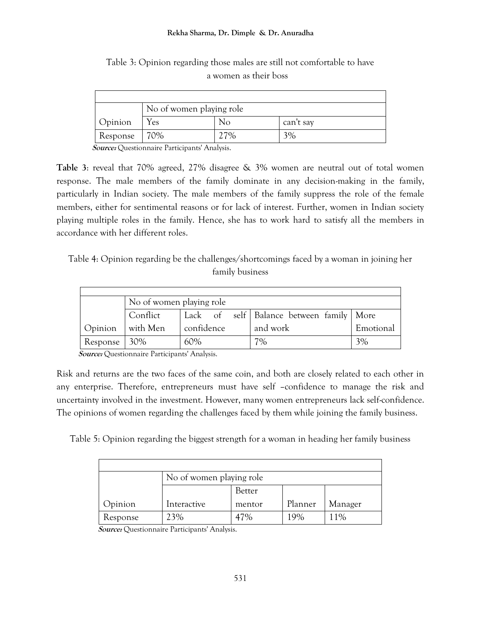#### **Rekha Sharma, Dr. Dimple & Dr. Anuradha**

|          | No of women playing role |    |           |
|----------|--------------------------|----|-----------|
| Opinion  | Yes                      | No | can't say |
| Response | 70%                      |    | 3%        |

Table 3: Opinion regarding those males are still not comfortable to have a women as their boss

 **Source:** Questionnaire Participants' Analysis.

**Table 3**: reveal that 70% agreed, 27% disagree & 3% women are neutral out of total women response. The male members of the family dominate in any decision-making in the family, particularly in Indian society. The male members of the family suppress the role of the female members, either for sentimental reasons or for lack of interest. Further, women in Indian society playing multiple roles in the family. Hence, she has to work hard to satisfy all the members in accordance with her different roles.

Table 4: Opinion regarding be the challenges/shortcomings faced by a woman in joining her family business

|                | No of women playing role |            |                                              |           |
|----------------|--------------------------|------------|----------------------------------------------|-----------|
|                | Conflict                 |            | Lack of self   Balance between family   More |           |
| Opinion        | with Men                 | confidence | and work                                     | Emotional |
| Response   30% |                          | 60%        | 7%                                           | 3%        |

 **Source:** Questionnaire Participants' Analysis.

Risk and returns are the two faces of the same coin, and both are closely related to each other in any enterprise. Therefore, entrepreneurs must have self –confidence to manage the risk and uncertainty involved in the investment. However, many women entrepreneurs lack self-confidence. The opinions of women regarding the challenges faced by them while joining the family business.

Table 5: Opinion regarding the biggest strength for a woman in heading her family business

|          | No of women playing role |        |         |         |
|----------|--------------------------|--------|---------|---------|
|          |                          | Better |         |         |
| Opinion  | Interactive              | mentor | Planner | Manager |
| Response | 23%                      |        | 19%     | 11%     |

 **Source:** Questionnaire Participants' Analysis.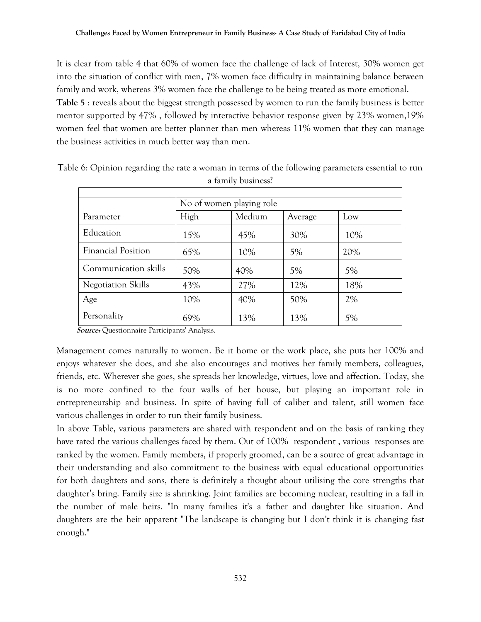It is clear from table 4 that 60% of women face the challenge of lack of Interest, 30% women get into the situation of conflict with men, 7% women face difficulty in maintaining balance between family and work, whereas 3% women face the challenge to be being treated as more emotional. **Table 5** : reveals about the biggest strength possessed by women to run the family business is better mentor supported by 47% , followed by interactive behavior response given by 23% women,19% women feel that women are better planner than men whereas 11% women that they can manage the business activities in much better way than men.

|                           | No of women playing role |        |         |     |
|---------------------------|--------------------------|--------|---------|-----|
| Parameter                 | High                     | Medium | Average | Low |
| Education                 | 15%                      | 45%    | 30%     | 10% |
| <b>Financial Position</b> | 65%                      | 10%    | 5%      | 20% |
| Communication skills      | 50%                      | 40%    | 5%      | 5%  |
| <b>Negotiation Skills</b> | 43%                      | 27%    | 12%     | 18% |
| Age                       | 10%                      | 40%    | 50%     | 2%  |
| Personality               | 69%                      | 13%    | 13%     | 5%  |

Table 6: Opinion regarding the rate a woman in terms of the following parameters essential to run a family business?

 **Source:** Questionnaire Participants' Analysis.

Management comes naturally to women. Be it home or the work place, she puts her 100% and enjoys whatever she does, and she also encourages and motives her family members, colleagues, friends, etc. Wherever she goes, she spreads her knowledge, virtues, love and affection. Today, she is no more confined to the four walls of her house, but playing an important role in entrepreneurship and business. In spite of having full of caliber and talent, still women face various challenges in order to run their family business.

In above Table, various parameters are shared with respondent and on the basis of ranking they have rated the various challenges faced by them. Out of 100% respondent , various responses are ranked by the women. Family members, if properly groomed, can be a source of great advantage in their understanding and also commitment to the business with equal educational opportunities for both daughters and sons, there is definitely a thought about utilising the core strengths that daughter's bring. Family size is shrinking. Joint families are becoming nuclear, resulting in a fall in the number of male heirs. "In many families it's a father and daughter like situation. And daughters are the heir apparent "The landscape is changing but I don't think it is changing fast enough."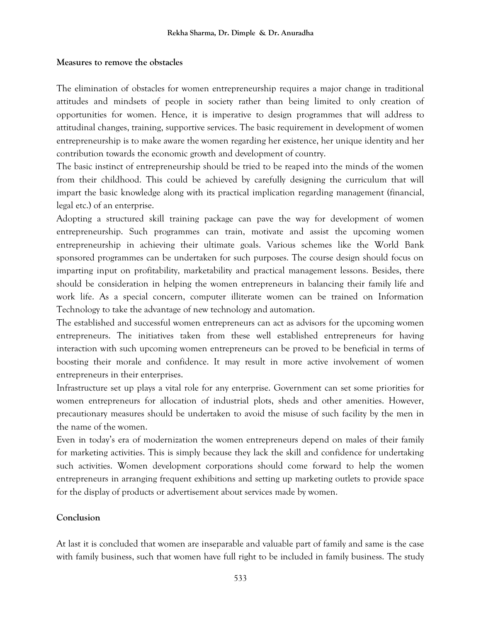### **Measures to remove the obstacles**

The elimination of obstacles for women entrepreneurship requires a major change in traditional attitudes and mindsets of people in society rather than being limited to only creation of opportunities for women. Hence, it is imperative to design programmes that will address to attitudinal changes, training, supportive services. The basic requirement in development of women entrepreneurship is to make aware the women regarding her existence, her unique identity and her contribution towards the economic growth and development of country.

The basic instinct of entrepreneurship should be tried to be reaped into the minds of the women from their childhood. This could be achieved by carefully designing the curriculum that will impart the basic knowledge along with its practical implication regarding management (financial, legal etc.) of an enterprise.

Adopting a structured skill training package can pave the way for development of women entrepreneurship. Such programmes can train, motivate and assist the upcoming women entrepreneurship in achieving their ultimate goals. Various schemes like the World Bank sponsored programmes can be undertaken for such purposes. The course design should focus on imparting input on profitability, marketability and practical management lessons. Besides, there should be consideration in helping the women entrepreneurs in balancing their family life and work life. As a special concern, computer illiterate women can be trained on Information Technology to take the advantage of new technology and automation.

The established and successful women entrepreneurs can act as advisors for the upcoming women entrepreneurs. The initiatives taken from these well established entrepreneurs for having interaction with such upcoming women entrepreneurs can be proved to be beneficial in terms of boosting their morale and confidence. It may result in more active involvement of women entrepreneurs in their enterprises.

Infrastructure set up plays a vital role for any enterprise. Government can set some priorities for women entrepreneurs for allocation of industrial plots, sheds and other amenities. However, precautionary measures should be undertaken to avoid the misuse of such facility by the men in the name of the women.

Even in today's era of modernization the women entrepreneurs depend on males of their family for marketing activities. This is simply because they lack the skill and confidence for undertaking such activities. Women development corporations should come forward to help the women entrepreneurs in arranging frequent exhibitions and setting up marketing outlets to provide space for the display of products or advertisement about services made by women.

## **Conclusion**

At last it is concluded that women are inseparable and valuable part of family and same is the case with family business, such that women have full right to be included in family business. The study